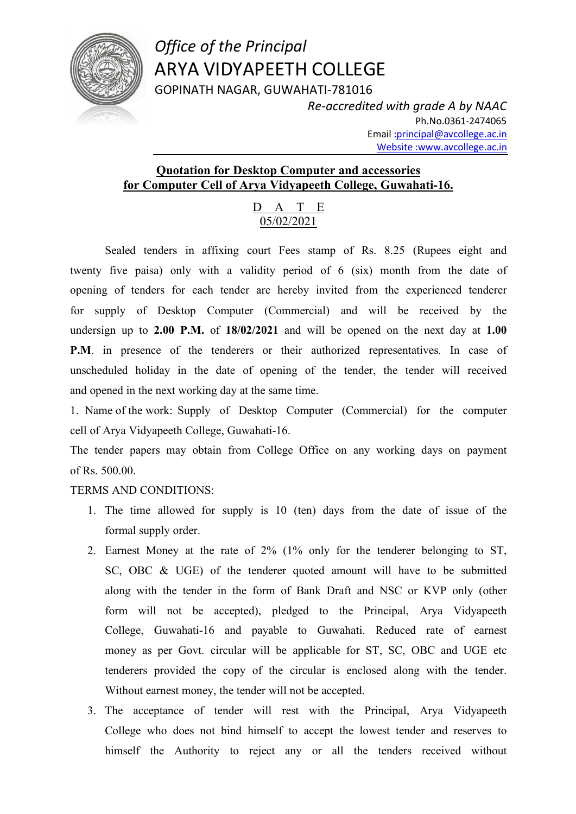

## *Office of the Principal* ARYA VIDYAPEETH COLLEGE GOPINATH NAGAR, GUWAHATI-781016

*Re-accredited with grade A by NAAC* Ph.No.0361-2474065 Email :principal@avcollege.ac.in Website :www.avcollege.ac.in

## **Quotation for Desktop Computer and accessories for Computer Cell of Arya Vidyapeeth College, Guwahati-16.**

## D A T E 05/02/2021

Sealed tenders in affixing court Fees stamp of Rs. 8.25 (Rupees eight and twenty five paisa) only with a validity period of 6 (six) month from the date of opening of tenders for each tender are hereby invited from the experienced tenderer for supply of Desktop Computer (Commercial) and will be received by the undersign up to **2.00 P.M.** of **18/02/2021** and will be opened on the next day at **1.00 P.M.** in presence of the tenderers or their authorized representatives. In case of unscheduled holiday in the date of opening of the tender, the tender will received and opened in the next working day at the same time.

1. Name of the work: Supply of Desktop Computer (Commercial) for the computer cell of Arya Vidyapeeth College, Guwahati-16.

The tender papers may obtain from College Office on any working days on payment of Rs. 500.00.

## TERMS AND CONDITIONS:

- 1. The time allowed for supply is 10 (ten) days from the date of issue of the formal supply order.
- 2. Earnest Money at the rate of 2% (1% only for the tenderer belonging to ST, SC, OBC & UGE) of the tenderer quoted amount will have to be submitted along with the tender in the form of Bank Draft and NSC or KVP only (other form will not be accepted), pledged to the Principal, Arya Vidyapeeth College, Guwahati-16 and payable to Guwahati. Reduced rate of earnest money as per Govt. circular will be applicable for ST, SC, OBC and UGE etc tenderers provided the copy of the circular is enclosed along with the tender. Without earnest money, the tender will not be accepted.
- 3. The acceptance of tender will rest with the Principal, Arya Vidyapeeth College who does not bind himself to accept the lowest tender and reserves to himself the Authority to reject any or all the tenders received without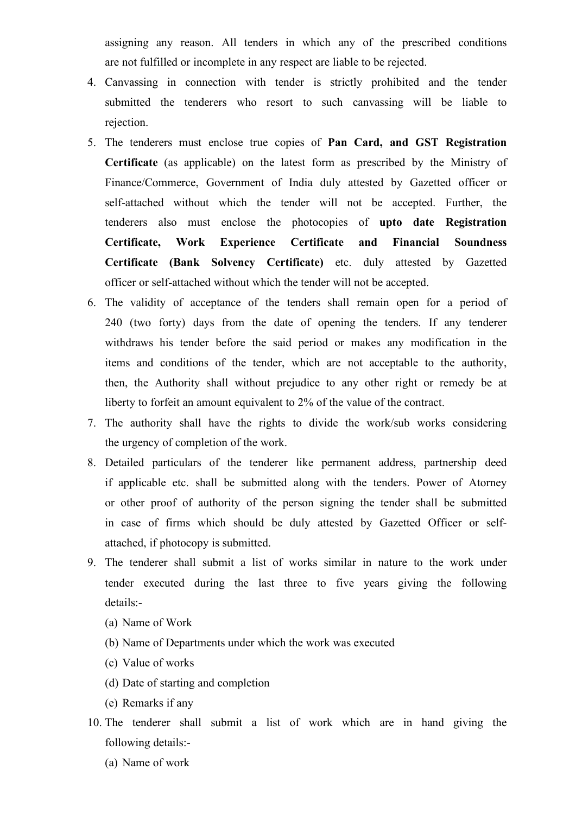assigning any reason. All tenders in which any of the prescribed conditions are not fulfilled or incomplete in any respect are liable to be rejected.

- 4. Canvassing in connection with tender is strictly prohibited and the tender submitted the tenderers who resort to such canvassing will be liable to rejection.
- 5. The tenderers must enclose true copies of **Pan Card, and GST Registration Certificate** (as applicable) on the latest form as prescribed by the Ministry of Finance/Commerce, Government of India duly attested by Gazetted officer or self-attached without which the tender will not be accepted. Further, the tenderers also must enclose the photocopies of **upto date Registration Certificate, Work Experience Certificate and Financial Soundness Certificate (Bank Solvency Certificate)** etc. duly attested by Gazetted officer or self-attached without which the tender will not be accepted.
- 6. The validity of acceptance of the tenders shall remain open for a period of 240 (two forty) days from the date of opening the tenders. If any tenderer withdraws his tender before the said period or makes any modification in the items and conditions of the tender, which are not acceptable to the authority, then, the Authority shall without prejudice to any other right or remedy be at liberty to forfeit an amount equivalent to 2% of the value of the contract.
- 7. The authority shall have the rights to divide the work/sub works considering the urgency of completion of the work.
- 8. Detailed particulars of the tenderer like permanent address, partnership deed if applicable etc. shall be submitted along with the tenders. Power of Atorney or other proof of authority of the person signing the tender shall be submitted in case of firms which should be duly attested by Gazetted Officer or selfattached, if photocopy is submitted.
- 9. The tenderer shall submit a list of works similar in nature to the work under tender executed during the last three to five years giving the following details:-
	- (a) Name of Work
	- (b) Name of Departments under which the work was executed
	- (c) Value of works
	- (d) Date of starting and completion
	- (e) Remarks if any
- 10. The tenderer shall submit a list of work which are in hand giving the following details:-
	- (a) Name of work